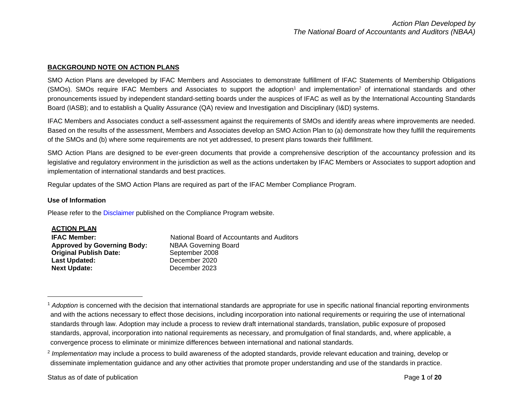### **BACKGROUND NOTE ON ACTION PLANS**

SMO Action Plans are developed by IFAC Members and Associates to demonstrate fulfillment of IFAC Statements of Membership Obligations (SMOs). SMOs require IFAC Members and Associates to support the adoption<sup>1</sup> and implementation<sup>2</sup> of international standards and other pronouncements issued by independent standard-setting boards under the auspices of IFAC as well as by the International Accounting Standards Board (IASB); and to establish a Quality Assurance (QA) review and Investigation and Disciplinary (I&D) systems.

IFAC Members and Associates conduct a self-assessment against the requirements of SMOs and identify areas where improvements are needed. Based on the results of the assessment, Members and Associates develop an SMO Action Plan to (a) demonstrate how they fulfill the requirements of the SMOs and (b) where some requirements are not yet addressed, to present plans towards their fulfillment.

SMO Action Plans are designed to be ever-green documents that provide a comprehensive description of the accountancy profession and its legislative and regulatory environment in the jurisdiction as well as the actions undertaken by IFAC Members or Associates to support adoption and implementation of international standards and best practices.

Regular updates of the SMO Action Plans are required as part of the IFAC Member Compliance Program.

#### **Use of Information**

Please refer to the [Disclaimer](http://www.ifac.org/about-ifac/membership/members/disclaimer) published on the Compliance Program website.

| <b>ACTION PLAN</b>                 |                                            |
|------------------------------------|--------------------------------------------|
| <b>IFAC Member:</b>                | National Board of Accountants and Auditors |
| <b>Approved by Governing Body:</b> | <b>NBAA Governing Board</b>                |
| <b>Original Publish Date:</b>      | September 2008                             |
| <b>Last Updated:</b>               | December 2020                              |
| <b>Next Update:</b>                | December 2023                              |

<sup>&</sup>lt;sup>1</sup> Adoption is concerned with the decision that international standards are appropriate for use in specific national financial reporting environments and with the actions necessary to effect those decisions, including incorporation into national requirements or requiring the use of international standards through law. Adoption may include a process to review draft international standards, translation, public exposure of proposed standards, approval, incorporation into national requirements as necessary, and promulgation of final standards, and, where applicable, a convergence process to eliminate or minimize differences between international and national standards.

<sup>2</sup> *Implementation* may include a process to build awareness of the adopted standards, provide relevant education and training, develop or disseminate implementation guidance and any other activities that promote proper understanding and use of the standards in practice.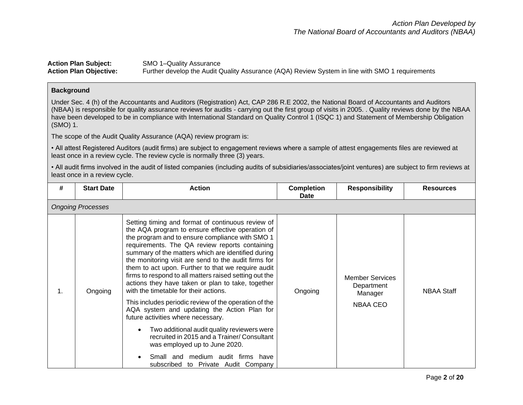## **Action Plan Subject:** SMO 1–Quality Assurance<br>**Action Plan Objective:** Further develop the Audit C Further develop the Audit Quality Assurance (AQA) Review System in line with SMO 1 requirements

#### **Background**

Under Sec. 4 (h) of the Accountants and Auditors (Registration) Act, CAP 286 R.E 2002, the National Board of Accountants and Auditors (NBAA) is responsible for quality assurance reviews for audits - carrying out the first group of visits in 2005. . Quality reviews done by the NBAA have been developed to be in compliance with International Standard on Quality Control 1 (ISQC 1) and Statement of Membership Obligation (SMO) 1.

The scope of the Audit Quality Assurance (AQA) review program is:

• All attest Registered Auditors (audit firms) are subject to engagement reviews where a sample of attest engagements files are reviewed at least once in a review cycle. The review cycle is normally three (3) years.

• All audit firms involved in the audit of listed companies (including audits of subsidiaries/associates/joint ventures) are subject to firm reviews at least once in a review cycle.

| # | <b>Start Date</b>        | <b>Action</b>                                                                                                                                                                                                                                                                                                                                                                                                                                                                                                                                                                                                                                                                                                                                                                                                                                                                                   | <b>Completion</b><br><b>Date</b> | <b>Responsibility</b>                                              | <b>Resources</b>  |
|---|--------------------------|-------------------------------------------------------------------------------------------------------------------------------------------------------------------------------------------------------------------------------------------------------------------------------------------------------------------------------------------------------------------------------------------------------------------------------------------------------------------------------------------------------------------------------------------------------------------------------------------------------------------------------------------------------------------------------------------------------------------------------------------------------------------------------------------------------------------------------------------------------------------------------------------------|----------------------------------|--------------------------------------------------------------------|-------------------|
|   | <b>Ongoing Processes</b> |                                                                                                                                                                                                                                                                                                                                                                                                                                                                                                                                                                                                                                                                                                                                                                                                                                                                                                 |                                  |                                                                    |                   |
|   | Ongoing                  | Setting timing and format of continuous review of<br>the AQA program to ensure effective operation of<br>the program and to ensure compliance with SMO 1<br>requirements. The QA review reports containing<br>summary of the matters which are identified during<br>the monitoring visit are send to the audit firms for<br>them to act upon. Further to that we require audit<br>firms to respond to all matters raised setting out the<br>actions they have taken or plan to take, together<br>with the timetable for their actions.<br>This includes periodic review of the operation of the<br>AQA system and updating the Action Plan for<br>future activities where necessary.<br>Two additional audit quality reviewers were<br>recruited in 2015 and a Trainer/ Consultant<br>was employed up to June 2020.<br>Small and medium audit firms have<br>subscribed to Private Audit Company | Ongoing                          | <b>Member Services</b><br>Department<br>Manager<br><b>NBAA CEO</b> | <b>NBAA Staff</b> |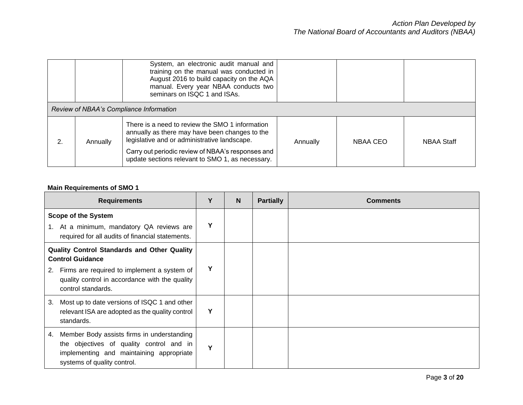|    |                                         | System, an electronic audit manual and<br>training on the manual was conducted in<br>August 2016 to build capacity on the AQA<br>manual. Every year NBAA conducts two<br>seminars on ISQC 1 and ISAs.                                                      |          |          |                   |  |
|----|-----------------------------------------|------------------------------------------------------------------------------------------------------------------------------------------------------------------------------------------------------------------------------------------------------------|----------|----------|-------------------|--|
|    | Review of NBAA's Compliance Information |                                                                                                                                                                                                                                                            |          |          |                   |  |
| 2. | Annually                                | There is a need to review the SMO 1 information<br>annually as there may have been changes to the<br>legislative and or administrative landscape.<br>Carry out periodic review of NBAA's responses and<br>update sections relevant to SMO 1, as necessary. | Annually | NBAA CEO | <b>NBAA Staff</b> |  |

# **Main Requirements of SMO 1**

| <b>Requirements</b>                                                                                                                                                     | Υ | N | <b>Partially</b> | <b>Comments</b> |
|-------------------------------------------------------------------------------------------------------------------------------------------------------------------------|---|---|------------------|-----------------|
| <b>Scope of the System</b>                                                                                                                                              |   |   |                  |                 |
| At a minimum, mandatory QA reviews are<br>1.<br>required for all audits of financial statements.                                                                        | Υ |   |                  |                 |
| Quality Control Standards and Other Quality<br><b>Control Guidance</b>                                                                                                  |   |   |                  |                 |
| Firms are required to implement a system of<br>2.<br>quality control in accordance with the quality<br>control standards.                                               | Υ |   |                  |                 |
| Most up to date versions of ISQC 1 and other<br>3.<br>relevant ISA are adopted as the quality control<br>standards.                                                     | Υ |   |                  |                 |
| Member Body assists firms in understanding<br>4.<br>the objectives of quality control and in<br>implementing and maintaining appropriate<br>systems of quality control. | Y |   |                  |                 |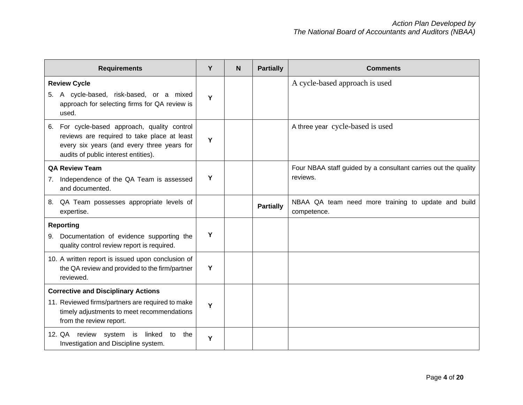| <b>Requirements</b>                                                                                                                                                                  | Y | N | <b>Partially</b> | <b>Comments</b>                                                            |
|--------------------------------------------------------------------------------------------------------------------------------------------------------------------------------------|---|---|------------------|----------------------------------------------------------------------------|
| <b>Review Cycle</b><br>A cycle-based, risk-based, or a mixed<br>5.<br>approach for selecting firms for QA review is<br>used.                                                         | Y |   |                  | A cycle-based approach is used                                             |
| For cycle-based approach, quality control<br>6.<br>reviews are required to take place at least<br>every six years (and every three years for<br>audits of public interest entities). | Y |   |                  | A three year cycle-based is used                                           |
| <b>QA Review Team</b><br>Independence of the QA Team is assessed<br>7.                                                                                                               | Y |   |                  | Four NBAA staff guided by a consultant carries out the quality<br>reviews. |
| and documented.                                                                                                                                                                      |   |   |                  |                                                                            |
| QA Team possesses appropriate levels of<br>8.<br>expertise.                                                                                                                          |   |   | <b>Partially</b> | NBAA QA team need more training to update and build<br>competence.         |
| <b>Reporting</b><br>Documentation of evidence supporting the<br>9.<br>quality control review report is required.                                                                     | Y |   |                  |                                                                            |
| 10. A written report is issued upon conclusion of<br>the QA review and provided to the firm/partner<br>reviewed.                                                                     | Y |   |                  |                                                                            |
| <b>Corrective and Disciplinary Actions</b>                                                                                                                                           |   |   |                  |                                                                            |
| 11. Reviewed firms/partners are required to make<br>timely adjustments to meet recommendations<br>from the review report.                                                            | Y |   |                  |                                                                            |
| 12. QA review system is linked to<br>the<br>Investigation and Discipline system.                                                                                                     | Y |   |                  |                                                                            |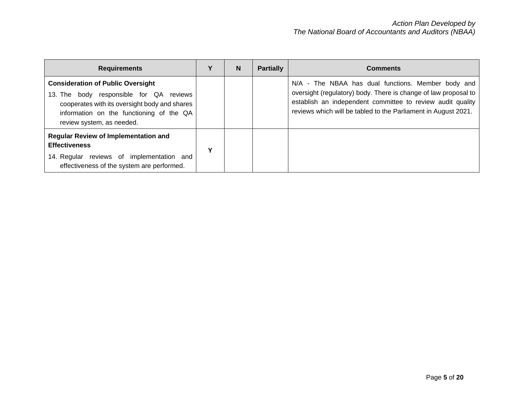| <b>Requirements</b>                                                                                                                                                                                                 |   | N | <b>Partially</b> | <b>Comments</b>                                                                                                                                                                                                                                       |
|---------------------------------------------------------------------------------------------------------------------------------------------------------------------------------------------------------------------|---|---|------------------|-------------------------------------------------------------------------------------------------------------------------------------------------------------------------------------------------------------------------------------------------------|
| <b>Consideration of Public Oversight</b><br>body responsible for QA<br>reviews<br>13. The<br>cooperates with its oversight body and shares<br>information on the functioning of the QA<br>review system, as needed. |   |   |                  | N/A - The NBAA has dual functions. Member body and<br>oversight (regulatory) body. There is change of law proposal to<br>establish an independent committee to review audit quality<br>reviews which will be tabled to the Parliament in August 2021. |
| Regular Review of Implementation and<br><b>Effectiveness</b><br>14. Regular reviews of implementation<br>and<br>effectiveness of the system are performed.                                                          | v |   |                  |                                                                                                                                                                                                                                                       |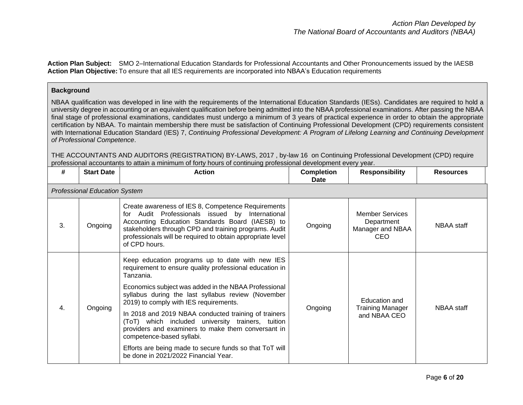**Action Plan Subject:** SMO 2–International Education Standards for Professional Accountants and Other Pronouncements issued by the IAESB **Action Plan Objective:** To ensure that all IES requirements are incorporated into NBAA's Education requirements

### **Background**

NBAA qualification was developed in line with the requirements of the International Education Standards (IESs). Candidates are required to hold a university degree in accounting or an equivalent qualification before being admitted into the NBAA professional examinations. After passing the NBAA final stage of professional examinations, candidates must undergo a minimum of 3 years of practical experience in order to obtain the appropriate certification by NBAA. To maintain membership there must be satisfaction of Continuing Professional Development (CPD) requirements consistent with International Education Standard (IES) 7, *Continuing Professional Development: A Program of Lifelong Learning and Continuing Development of Professional Competence*.

THE ACCOUNTANTS AND AUDITORS (REGISTRATION) BY-LAWS, 2017 , by-law 16 on Continuing Professional Development (CPD) require professional accountants to attain a minimum of forty hours of continuing professional development every year.

| #  | <b>Start Date</b>                    | <b>Action</b>                                                                                                                                                                                                                                                                                                                                                                                                                                                                                                                                                                      | <b>Completion</b><br>Date | <b>Responsibility</b>                                            | <b>Resources</b>  |  |  |  |
|----|--------------------------------------|------------------------------------------------------------------------------------------------------------------------------------------------------------------------------------------------------------------------------------------------------------------------------------------------------------------------------------------------------------------------------------------------------------------------------------------------------------------------------------------------------------------------------------------------------------------------------------|---------------------------|------------------------------------------------------------------|-------------------|--|--|--|
|    | <b>Professional Education System</b> |                                                                                                                                                                                                                                                                                                                                                                                                                                                                                                                                                                                    |                           |                                                                  |                   |  |  |  |
| 3. | Ongoing                              | Create awareness of IES 8, Competence Requirements<br>Audit Professionals issued by International<br>for<br>Accounting Education Standards Board (IAESB) to<br>stakeholders through CPD and training programs. Audit<br>professionals will be required to obtain appropriate level<br>of CPD hours.                                                                                                                                                                                                                                                                                | Ongoing                   | <b>Member Services</b><br>Department<br>Manager and NBAA<br>CEO. | NBAA staff        |  |  |  |
| 4. | Ongoing                              | Keep education programs up to date with new IES<br>requirement to ensure quality professional education in<br>Tanzania.<br>Economics subject was added in the NBAA Professional<br>syllabus during the last syllabus review (November<br>2019) to comply with IES requirements.<br>In 2018 and 2019 NBAA conducted training of trainers<br>(ToT) which included university trainers, tuition<br>providers and examiners to make them conversant in<br>competence-based syllabi.<br>Efforts are being made to secure funds so that ToT will<br>be done in 2021/2022 Financial Year. | Ongoing                   | Education and<br><b>Training Manager</b><br>and NBAA CEO         | <b>NBAA</b> staff |  |  |  |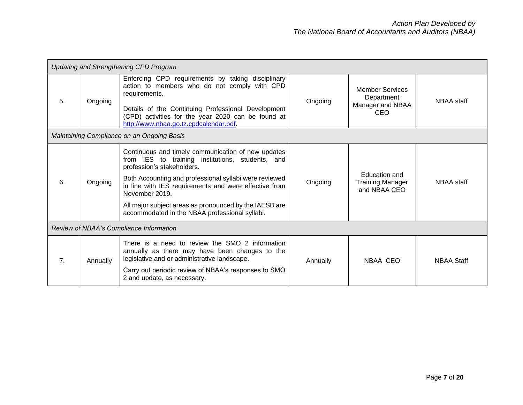|    | <b>Updating and Strengthening CPD Program</b> |                                                                                                                                                                                                                                                                                                                                                                                       |          |                                                                        |                   |  |
|----|-----------------------------------------------|---------------------------------------------------------------------------------------------------------------------------------------------------------------------------------------------------------------------------------------------------------------------------------------------------------------------------------------------------------------------------------------|----------|------------------------------------------------------------------------|-------------------|--|
| 5. | Ongoing                                       | Enforcing CPD requirements by taking disciplinary<br>action to members who do not comply with CPD<br>requirements.<br>Details of the Continuing Professional Development<br>(CPD) activities for the year 2020 can be found at<br>http://www.nbaa.go.tz.cpdcalendar.pdf.                                                                                                              | Ongoing  | <b>Member Services</b><br>Department<br>Manager and NBAA<br><b>CEO</b> | NBAA staff        |  |
|    |                                               | Maintaining Compliance on an Ongoing Basis                                                                                                                                                                                                                                                                                                                                            |          |                                                                        |                   |  |
| 6. | Ongoing                                       | Continuous and timely communication of new updates<br>from IES to training institutions, students, and<br>profession's stakeholders.<br>Both Accounting and professional syllabi were reviewed<br>in line with IES requirements and were effective from<br>November 2019.<br>All major subject areas as pronounced by the IAESB are<br>accommodated in the NBAA professional syllabi. | Ongoing  | Education and<br><b>Training Manager</b><br>and NBAA CEO               | NBAA staff        |  |
|    | Review of NBAA's Compliance Information       |                                                                                                                                                                                                                                                                                                                                                                                       |          |                                                                        |                   |  |
| 7. | Annually                                      | There is a need to review the SMO 2 information<br>annually as there may have been changes to the<br>legislative and or administrative landscape.<br>Carry out periodic review of NBAA's responses to SMO<br>2 and update, as necessary.                                                                                                                                              | Annually | NBAA CEO                                                               | <b>NBAA Staff</b> |  |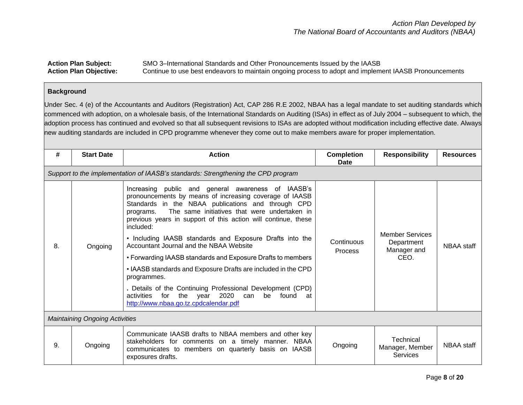Action Plan Subject: SMO 3–International Standards and Other Pronouncements Issued by the IAASB<br>Action Plan Objective: Continue to use best endeavors to maintain ongoing process to adopt and implem Continue to use best endeavors to maintain ongoing process to adopt and implement IAASB Pronouncements

#### **Background**

Under Sec. 4 (e) of the Accountants and Auditors (Registration) Act, CAP 286 R.E 2002, NBAA has a legal mandate to set auditing standards which commenced with adoption, on a wholesale basis, of the International Standards on Auditing (ISAs) in effect as of July 2004 – subsequent to which, the adoption process has continued and evolved so that all subsequent revisions to ISAs are adopted without modification including effective date. Always new auditing standards are included in CPD programme whenever they come out to make members aware for proper implementation.

| #  | <b>Start Date</b>                     | <b>Action</b>                                                                                                                                                                                                                                                                                                                                                                                                                                                                                                                                                                                                                                                                                                                           | <b>Completion</b><br><b>Date</b> | <b>Responsibility</b>                                       | <b>Resources</b> |  |
|----|---------------------------------------|-----------------------------------------------------------------------------------------------------------------------------------------------------------------------------------------------------------------------------------------------------------------------------------------------------------------------------------------------------------------------------------------------------------------------------------------------------------------------------------------------------------------------------------------------------------------------------------------------------------------------------------------------------------------------------------------------------------------------------------------|----------------------------------|-------------------------------------------------------------|------------------|--|
|    |                                       | Support to the implementation of IAASB's standards: Strengthening the CPD program                                                                                                                                                                                                                                                                                                                                                                                                                                                                                                                                                                                                                                                       |                                  |                                                             |                  |  |
| 8. | Ongoing                               | public and general awareness of IAASB's<br>Increasing<br>pronouncements by means of increasing coverage of IAASB<br>Standards in the NBAA publications and through CPD<br>The same initiatives that were undertaken in<br>programs.<br>previous years in support of this action will continue, these<br>included:<br>• Including IAASB standards and Exposure Drafts into the<br>Accountant Journal and the NBAA Website<br>• Forwarding IAASB standards and Exposure Drafts to members<br>• IAASB standards and Exposure Drafts are included in the CPD<br>programmes.<br>. Details of the Continuing Professional Development (CPD)<br>the year 2020 can<br>be found at<br>for<br>activities<br>http://www.nbaa.go.tz.cpdcalendar.pdf | Continuous<br><b>Process</b>     | <b>Member Services</b><br>Department<br>Manager and<br>CEO. | NBAA staff       |  |
|    | <b>Maintaining Ongoing Activities</b> |                                                                                                                                                                                                                                                                                                                                                                                                                                                                                                                                                                                                                                                                                                                                         |                                  |                                                             |                  |  |
| 9. | Ongoing                               | Communicate IAASB drafts to NBAA members and other key<br>stakeholders for comments on a timely manner. NBAA<br>communicates to members on quarterly basis on IAASB<br>exposures drafts.                                                                                                                                                                                                                                                                                                                                                                                                                                                                                                                                                | Ongoing                          | Technical<br>Manager, Member<br>Services                    | NBAA staff       |  |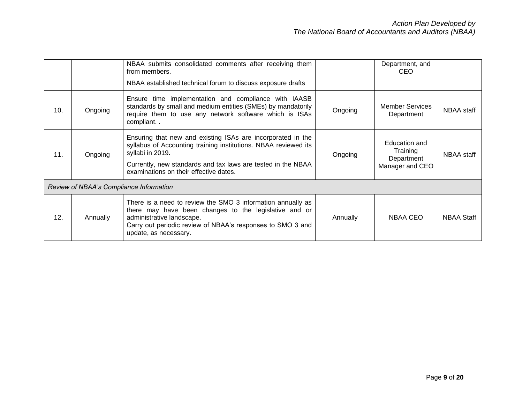|     |                                         | NBAA submits consolidated comments after receiving them<br>from members.<br>NBAA established technical forum to discuss exposure drafts                                                                                                                      |          | Department, and<br><b>CEO</b>                              |                   |  |
|-----|-----------------------------------------|--------------------------------------------------------------------------------------------------------------------------------------------------------------------------------------------------------------------------------------------------------------|----------|------------------------------------------------------------|-------------------|--|
| 10. | Ongoing                                 | Ensure time implementation and compliance with IAASB<br>standards by small and medium entities (SMEs) by mandatorily<br>require them to use any network software which is ISAs<br>compliant                                                                  | Ongoing  | <b>Member Services</b><br>Department                       | NBAA staff        |  |
| 11. | Ongoing                                 | Ensuring that new and existing ISAs are incorporated in the<br>syllabus of Accounting training institutions. NBAA reviewed its<br>syllabi in 2019.<br>Currently, new standards and tax laws are tested in the NBAA<br>examinations on their effective dates. | Ongoing  | Education and<br>Training<br>Department<br>Manager and CEO | NBAA staff        |  |
|     | Review of NBAA's Compliance Information |                                                                                                                                                                                                                                                              |          |                                                            |                   |  |
| 12. | Annually                                | There is a need to review the SMO 3 information annually as<br>there may have been changes to the legislative and or<br>administrative landscape.<br>Carry out periodic review of NBAA's responses to SMO 3 and<br>update, as necessary.                     | Annually | NBAA CEO                                                   | <b>NBAA Staff</b> |  |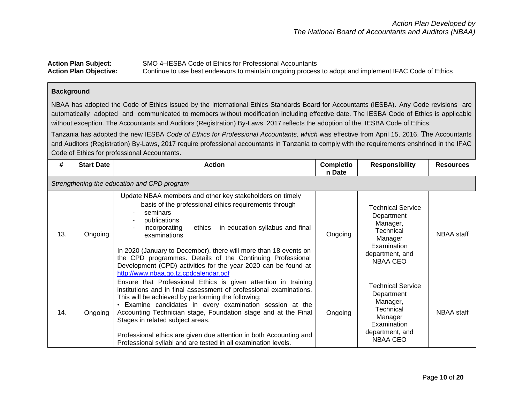| <b>Action Plan Subject:</b>   | SMO 4–IESBA Code of Ethics for Professional Accountants                                               |
|-------------------------------|-------------------------------------------------------------------------------------------------------|
| <b>Action Plan Objective:</b> | Continue to use best endeavors to maintain ongoing process to adopt and implement IFAC Code of Ethics |

## **Background**

NBAA has adopted the Code of Ethics issued by the International Ethics Standards Board for Accountants (IESBA). Any Code revisions are automatically adopted and communicated to members without modification including effective date. The IESBA Code of Ethics is applicable without exception. The Accountants and Auditors (Registration) By-Laws, 2017 reflects the adoption of the IESBA Code of Ethics.

Tanzania has adopted the new IESBA *Code of Ethics for Professional Accountants, which* was effective from April 15, 2016. The Accountants and Auditors (Registration) By-Laws, 2017 require professional accountants in Tanzania to comply with the requirements enshrined in the IFAC Code of Ethics for professional Accountants.

| #   | <b>Start Date</b>                           | <b>Action</b>                                                                                                                                                                                                                                                                                                                                                                                                                                                                                      | Completio<br>n Date | <b>Responsibility</b>                                                                                                           | <b>Resources</b> |  |  |
|-----|---------------------------------------------|----------------------------------------------------------------------------------------------------------------------------------------------------------------------------------------------------------------------------------------------------------------------------------------------------------------------------------------------------------------------------------------------------------------------------------------------------------------------------------------------------|---------------------|---------------------------------------------------------------------------------------------------------------------------------|------------------|--|--|
|     | Strengthening the education and CPD program |                                                                                                                                                                                                                                                                                                                                                                                                                                                                                                    |                     |                                                                                                                                 |                  |  |  |
| 13. | Ongoing                                     | Update NBAA members and other key stakeholders on timely<br>basis of the professional ethics requirements through<br>seminars<br>publications<br>incorporating<br>in education syllabus and final<br>ethics<br>examinations<br>In 2020 (January to December), there will more than 18 events on<br>the CPD programmes. Details of the Continuing Professional<br>Development (CPD) activities for the year 2020 can be found at<br>http://www.nbaa.go.tz.cpdcalendar.pdf                           | Ongoing             | <b>Technical Service</b><br>Department<br>Manager,<br><b>Technical</b><br>Manager<br>Examination<br>department, and<br>NBAA CEO | NBAA staff       |  |  |
| 14. | Ongoing                                     | Ensure that Professional Ethics is given attention in training<br>institutions and in final assessment of professional examinations.<br>This will be achieved by performing the following:<br>Examine candidates in every examination session at the<br>Accounting Technician stage, Foundation stage and at the Final<br>Stages in related subject areas.<br>Professional ethics are given due attention in both Accounting and<br>Professional syllabi and are tested in all examination levels. | Ongoing             | <b>Technical Service</b><br>Department<br>Manager,<br><b>Technical</b><br>Manager<br>Examination<br>department, and<br>NBAA CEO | NBAA staff       |  |  |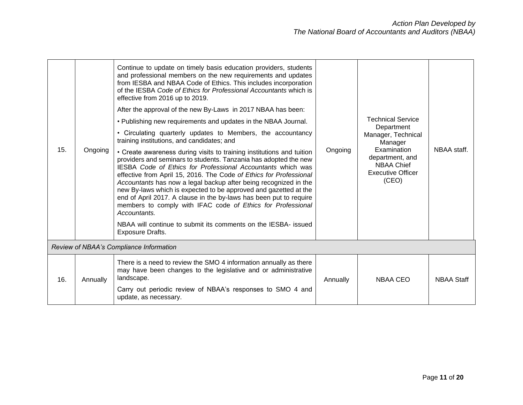|     |          | Continue to update on timely basis education providers, students<br>and professional members on the new requirements and updates<br>from IESBA and NBAA Code of Ethics. This includes incorporation<br>of the IESBA Code of Ethics for Professional Accountants which is<br>effective from 2016 up to 2019.                                                                                                                                                                                                                                                                                                                                          |          |                                                                                                                           |                   |
|-----|----------|------------------------------------------------------------------------------------------------------------------------------------------------------------------------------------------------------------------------------------------------------------------------------------------------------------------------------------------------------------------------------------------------------------------------------------------------------------------------------------------------------------------------------------------------------------------------------------------------------------------------------------------------------|----------|---------------------------------------------------------------------------------------------------------------------------|-------------------|
|     |          | After the approval of the new By-Laws in 2017 NBAA has been:                                                                                                                                                                                                                                                                                                                                                                                                                                                                                                                                                                                         |          |                                                                                                                           |                   |
|     |          | . Publishing new requirements and updates in the NBAA Journal.                                                                                                                                                                                                                                                                                                                                                                                                                                                                                                                                                                                       |          | <b>Technical Service</b><br>Department                                                                                    | NBAA staff.       |
|     |          | • Circulating quarterly updates to Members, the accountancy<br>training institutions, and candidates; and                                                                                                                                                                                                                                                                                                                                                                                                                                                                                                                                            |          | Manager, Technical<br>Manager<br>Examination<br>department, and<br><b>NBAA Chief</b><br><b>Executive Officer</b><br>(CEO) |                   |
| 15. | Ongoing  | • Create awareness during visits to training institutions and tuition<br>providers and seminars to students. Tanzania has adopted the new<br><b>IESBA Code of Ethics for Professional Accountants which was</b><br>effective from April 15, 2016. The Code of Ethics for Professional<br>Accountants has now a legal backup after being recognized in the<br>new By-laws which is expected to be approved and gazetted at the<br>end of April 2017. A clause in the by-laws has been put to require<br>members to comply with IFAC code of Ethics for Professional<br>Accountants.<br>NBAA will continue to submit its comments on the IESBA- issued | Ongoing  |                                                                                                                           |                   |
|     |          | Exposure Drafts.                                                                                                                                                                                                                                                                                                                                                                                                                                                                                                                                                                                                                                     |          |                                                                                                                           |                   |
|     |          | Review of NBAA's Compliance Information                                                                                                                                                                                                                                                                                                                                                                                                                                                                                                                                                                                                              |          |                                                                                                                           |                   |
| 16. | Annually | There is a need to review the SMO 4 information annually as there<br>may have been changes to the legislative and or administrative<br>landscape.<br>Carry out periodic review of NBAA's responses to SMO 4 and<br>update, as necessary.                                                                                                                                                                                                                                                                                                                                                                                                             | Annually | <b>NBAA CEO</b>                                                                                                           | <b>NBAA Staff</b> |
|     |          |                                                                                                                                                                                                                                                                                                                                                                                                                                                                                                                                                                                                                                                      |          |                                                                                                                           |                   |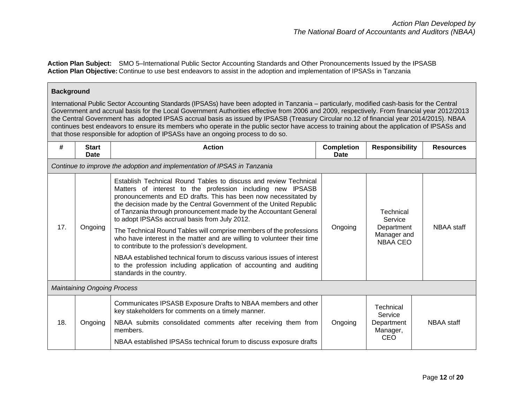**Action Plan Subject:** SMO 5–International Public Sector Accounting Standards and Other Pronouncements Issued by the IPSASB **Action Plan Objective:** Continue to use best endeavors to assist in the adoption and implementation of IPSASs in Tanzania

#### **Background**

International Public Sector Accounting Standards (IPSASs) have been adopted in Tanzania – particularly, modified cash-basis for the Central Government and accrual basis for the Local Government Authorities effective from 2006 and 2009, respectively. From financial year 2012/2013 the Central Government has adopted IPSAS accrual basis as issued by IPSASB (Treasury Circular no.12 of financial year 2014/2015). NBAA continues best endeavors to ensure its members who operate in the public sector have access to training about the application of IPSASs and that those responsible for adoption of IPSASs have an ongoing process to do so.

| #   | <b>Start</b><br><b>Date</b>        | <b>Action</b>                                                                                                                                                                                                                                                                                                                                                                                                                                                                                                                                                                                                                                                                                                                                                                 | <b>Completion</b><br><b>Date</b> | <b>Responsibility</b>                                                | <b>Resources</b> |  |  |  |  |
|-----|------------------------------------|-------------------------------------------------------------------------------------------------------------------------------------------------------------------------------------------------------------------------------------------------------------------------------------------------------------------------------------------------------------------------------------------------------------------------------------------------------------------------------------------------------------------------------------------------------------------------------------------------------------------------------------------------------------------------------------------------------------------------------------------------------------------------------|----------------------------------|----------------------------------------------------------------------|------------------|--|--|--|--|
|     |                                    | Continue to improve the adoption and implementation of IPSAS in Tanzania                                                                                                                                                                                                                                                                                                                                                                                                                                                                                                                                                                                                                                                                                                      |                                  |                                                                      |                  |  |  |  |  |
| 17. | Ongoing                            | Establish Technical Round Tables to discuss and review Technical<br>Matters of interest to the profession including new IPSASB<br>pronouncements and ED drafts. This has been now necessitated by<br>the decision made by the Central Government of the United Republic<br>of Tanzania through pronouncement made by the Accountant General<br>to adopt IPSASs accrual basis from July 2012.<br>The Technical Round Tables will comprise members of the professions<br>who have interest in the matter and are willing to volunteer their time<br>to contribute to the profession's development.<br>NBAA established technical forum to discuss various issues of interest<br>to the profession including application of accounting and auditing<br>standards in the country. | Ongoing                          | Technical<br>Service<br>Department<br>Manager and<br><b>NBAA CEO</b> | NBAA staff       |  |  |  |  |
|     | <b>Maintaining Ongoing Process</b> |                                                                                                                                                                                                                                                                                                                                                                                                                                                                                                                                                                                                                                                                                                                                                                               |                                  |                                                                      |                  |  |  |  |  |
| 18. | Ongoing                            | Communicates IPSASB Exposure Drafts to NBAA members and other<br>key stakeholders for comments on a timely manner.<br>NBAA submits consolidated comments after receiving them from<br>members.<br>NBAA established IPSASs technical forum to discuss exposure drafts                                                                                                                                                                                                                                                                                                                                                                                                                                                                                                          | Ongoing                          | Technical<br>Service<br>Department<br>Manager,<br>CEO                | NBAA staff       |  |  |  |  |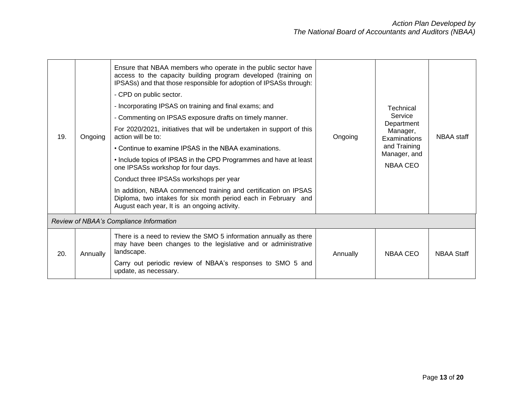| 19. | Ongoing  | Ensure that NBAA members who operate in the public sector have<br>access to the capacity building program developed (training on<br>IPSASs) and that those responsible for adoption of IPSASs through:<br>- CPD on public sector.<br>- Incorporating IPSAS on training and final exams; and<br>- Commenting on IPSAS exposure drafts on timely manner.<br>For 2020/2021, initiatives that will be undertaken in support of this<br>action will be to:<br>• Continue to examine IPSAS in the NBAA examinations.<br>• Include topics of IPSAS in the CPD Programmes and have at least<br>one IPSASs workshop for four days.<br>Conduct three IPSASs workshops per year<br>In addition, NBAA commenced training and certification on IPSAS<br>Diploma, two intakes for six month period each in February and<br>August each year, It is an ongoing activity. | Ongoing  | Technical<br>Service<br>Department<br>Manager,<br>Examinations<br>and Training<br>Manager, and<br><b>NBAA CEO</b> | NBAA staff        |
|-----|----------|-----------------------------------------------------------------------------------------------------------------------------------------------------------------------------------------------------------------------------------------------------------------------------------------------------------------------------------------------------------------------------------------------------------------------------------------------------------------------------------------------------------------------------------------------------------------------------------------------------------------------------------------------------------------------------------------------------------------------------------------------------------------------------------------------------------------------------------------------------------|----------|-------------------------------------------------------------------------------------------------------------------|-------------------|
|     |          | Review of NBAA's Compliance Information                                                                                                                                                                                                                                                                                                                                                                                                                                                                                                                                                                                                                                                                                                                                                                                                                   |          |                                                                                                                   |                   |
| 20. | Annually | There is a need to review the SMO 5 information annually as there<br>may have been changes to the legislative and or administrative<br>landscape.<br>Carry out periodic review of NBAA's responses to SMO 5 and<br>update, as necessary.                                                                                                                                                                                                                                                                                                                                                                                                                                                                                                                                                                                                                  | Annually | NBAA CEO                                                                                                          | <b>NBAA Staff</b> |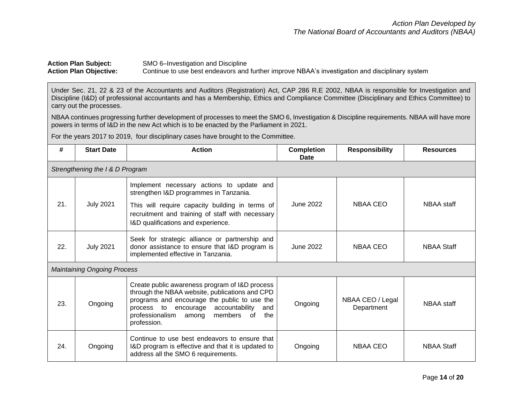## Action Plan Subject:<br>
Action Plan Objective:<br>
Continue to use best endeavors and<br>
Subset of the Continue to use best endeavors and<br>
Subset of the Continue to use best endeavors and<br>
Subset of the Continue to use best endea Continue to use best endeavors and further improve NBAA's investigation and disciplinary system

Under Sec. 21, 22 & 23 of the Accountants and Auditors (Registration) Act, CAP 286 R.E 2002, NBAA is responsible for Investigation and Discipline (I&D) of professional accountants and has a Membership, Ethics and Compliance Committee (Disciplinary and Ethics Committee) to carry out the processes.

NBAA continues progressing further development of processes to meet the SMO 6, Investigation & Discipline requirements. NBAA will have more powers in terms of I&D in the new Act which is to be enacted by the Parliament in 2021.

For the years 2017 to 2019, four disciplinary cases have brought to the Committee.

| #   | <b>Start Date</b>                  | <b>Action</b>                                                                                                                                                                                                                                                        | <b>Completion</b><br>Date | <b>Responsibility</b>          | <b>Resources</b>  |  |  |  |  |
|-----|------------------------------------|----------------------------------------------------------------------------------------------------------------------------------------------------------------------------------------------------------------------------------------------------------------------|---------------------------|--------------------------------|-------------------|--|--|--|--|
|     | Strengthening the I & D Program    |                                                                                                                                                                                                                                                                      |                           |                                |                   |  |  |  |  |
| 21. | <b>July 2021</b>                   | Implement necessary actions to update and<br>strengthen I&D programmes in Tanzania.<br>This will require capacity building in terms of<br>recruitment and training of staff with necessary<br>I&D qualifications and experience.                                     | June 2022                 | <b>NBAA CEO</b>                | NBAA staff        |  |  |  |  |
| 22. | <b>July 2021</b>                   | Seek for strategic alliance or partnership and<br>donor assistance to ensure that I&D program is<br>implemented effective in Tanzania.                                                                                                                               | June 2022                 | NBAA CEO                       | <b>NBAA Staff</b> |  |  |  |  |
|     | <b>Maintaining Ongoing Process</b> |                                                                                                                                                                                                                                                                      |                           |                                |                   |  |  |  |  |
| 23. | Ongoing                            | Create public awareness program of I&D process<br>through the NBAA website, publications and CPD<br>programs and encourage the public to use the<br>encourage accountability<br>process to<br>and<br>members<br>professionalism<br>the<br>0f<br>among<br>profession. | Ongoing                   | NBAA CEO / Legal<br>Department | NBAA staff        |  |  |  |  |
| 24. | Ongoing                            | Continue to use best endeavors to ensure that<br>I&D program is effective and that it is updated to<br>address all the SMO 6 requirements.                                                                                                                           | Ongoing                   | NBAA CEO                       | <b>NBAA Staff</b> |  |  |  |  |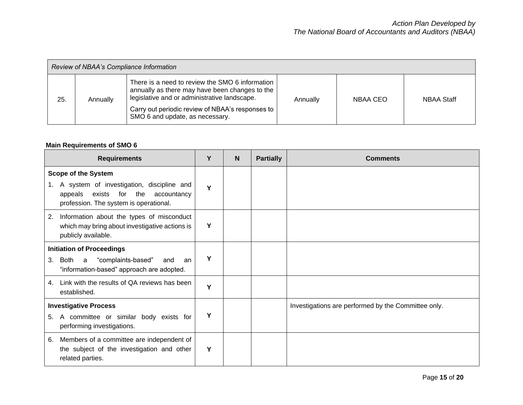| Review of NBAA's Compliance Information |          |                                                                                                                                                                                                                                          |          |          |                   |  |  |  |
|-----------------------------------------|----------|------------------------------------------------------------------------------------------------------------------------------------------------------------------------------------------------------------------------------------------|----------|----------|-------------------|--|--|--|
| 25.                                     | Annually | There is a need to review the SMO 6 information<br>annually as there may have been changes to the<br>legislative and or administrative landscape.<br>Carry out periodic review of NBAA's responses to<br>SMO 6 and update, as necessary. | Annually | NBAA CEO | <b>NBAA Staff</b> |  |  |  |

# **Main Requirements of SMO 6**

| <b>Requirements</b>                                                                                                                                                    | Υ | N | <b>Partially</b> | <b>Comments</b>                                     |
|------------------------------------------------------------------------------------------------------------------------------------------------------------------------|---|---|------------------|-----------------------------------------------------|
| <b>Scope of the System</b><br>1. A system of investigation, discipline and<br>for<br>the<br>accountancy<br>appeals<br>exists<br>profession. The system is operational. | Y |   |                  |                                                     |
| Information about the types of misconduct<br>2.<br>which may bring about investigative actions is<br>publicly available.                                               | Υ |   |                  |                                                     |
| <b>Initiation of Proceedings</b><br>"complaints-based"<br>Both<br>3.<br>a<br>and<br>an<br>"information-based" approach are adopted.                                    | Υ |   |                  |                                                     |
| Link with the results of QA reviews has been<br>4.<br>established.                                                                                                     | Y |   |                  |                                                     |
| <b>Investigative Process</b><br>A committee or similar body exists for<br>5.<br>performing investigations.                                                             | Υ |   |                  | Investigations are performed by the Committee only. |
| Members of a committee are independent of<br>6.<br>the subject of the investigation and other<br>related parties.                                                      | Y |   |                  |                                                     |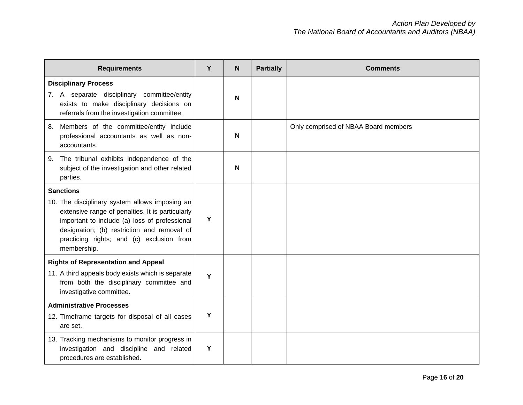| <b>Requirements</b>                                                                                                                                                                                                                                            | Y | $\mathsf{N}$ | <b>Partially</b> | <b>Comments</b>                      |
|----------------------------------------------------------------------------------------------------------------------------------------------------------------------------------------------------------------------------------------------------------------|---|--------------|------------------|--------------------------------------|
| <b>Disciplinary Process</b><br>7. A separate disciplinary committee/entity<br>exists to make disciplinary decisions on<br>referrals from the investigation committee.                                                                                          |   | N            |                  |                                      |
| Members of the committee/entity include<br>8.<br>professional accountants as well as non-<br>accountants.                                                                                                                                                      |   | N            |                  | Only comprised of NBAA Board members |
| The tribunal exhibits independence of the<br>9.<br>subject of the investigation and other related<br>parties.                                                                                                                                                  |   | N            |                  |                                      |
| <b>Sanctions</b>                                                                                                                                                                                                                                               |   |              |                  |                                      |
| 10. The disciplinary system allows imposing an<br>extensive range of penalties. It is particularly<br>important to include (a) loss of professional<br>designation; (b) restriction and removal of<br>practicing rights; and (c) exclusion from<br>membership. | Υ |              |                  |                                      |
| <b>Rights of Representation and Appeal</b>                                                                                                                                                                                                                     |   |              |                  |                                      |
| 11. A third appeals body exists which is separate<br>from both the disciplinary committee and<br>investigative committee.                                                                                                                                      | Y |              |                  |                                      |
| <b>Administrative Processes</b><br>12. Timeframe targets for disposal of all cases<br>are set.                                                                                                                                                                 | Υ |              |                  |                                      |
| 13. Tracking mechanisms to monitor progress in<br>investigation and discipline and related<br>procedures are established.                                                                                                                                      | Y |              |                  |                                      |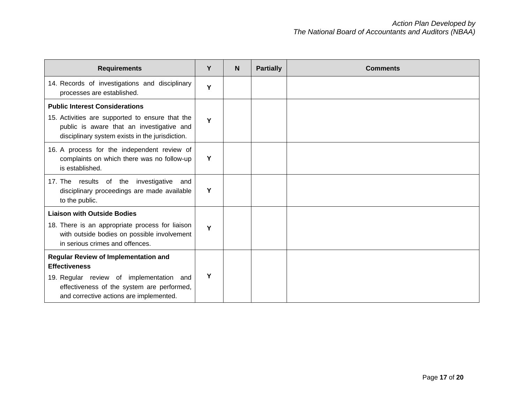| <b>Requirements</b>                                                                                                                                                                      | Y | N | <b>Partially</b> | <b>Comments</b> |
|------------------------------------------------------------------------------------------------------------------------------------------------------------------------------------------|---|---|------------------|-----------------|
| 14. Records of investigations and disciplinary<br>processes are established.                                                                                                             | Y |   |                  |                 |
| <b>Public Interest Considerations</b><br>15. Activities are supported to ensure that the<br>public is aware that an investigative and<br>disciplinary system exists in the jurisdiction. | Y |   |                  |                 |
| 16. A process for the independent review of<br>complaints on which there was no follow-up<br>is established.                                                                             | Y |   |                  |                 |
| 17. The results of the<br>investigative<br>and<br>disciplinary proceedings are made available<br>to the public.                                                                          | Y |   |                  |                 |
| <b>Liaison with Outside Bodies</b>                                                                                                                                                       |   |   |                  |                 |
| 18. There is an appropriate process for liaison<br>with outside bodies on possible involvement<br>in serious crimes and offences.                                                        | Y |   |                  |                 |
| <b>Regular Review of Implementation and</b><br><b>Effectiveness</b>                                                                                                                      |   |   |                  |                 |
| 19. Regular review of implementation and<br>effectiveness of the system are performed,<br>and corrective actions are implemented.                                                        | Υ |   |                  |                 |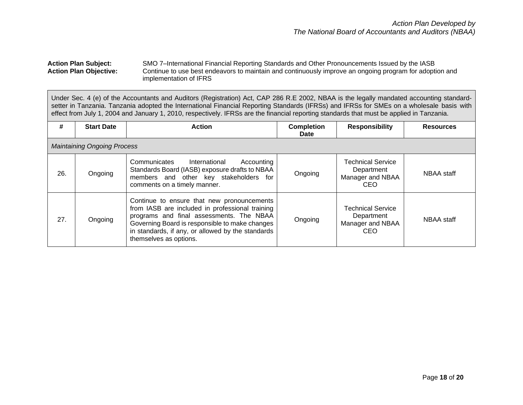#### Action Plan Subject: SMO 7–International Financial Reporting Standards and Other Pronouncements Issued by the IASB<br>Action Plan Objective: Continue to use best endeavors to maintain and continuously improve an ongoing progr Continue to use best endeavors to maintain and continuously improve an ongoing program for adoption and implementation of IFRS

Under Sec. 4 (e) of the Accountants and Auditors (Registration) Act, CAP 286 R.E 2002, NBAA is the legally mandated accounting standardsetter in Tanzania. Tanzania adopted the International Financial Reporting Standards (IFRSs) and IFRSs for SMEs on a wholesale basis with effect from July 1, 2004 and January 1, 2010, respectively. IFRSs are the financial reporting standards that must be applied in Tanzania.

| #   | <b>Start Date</b>                  | <b>Action</b>                                                                                                                                                                                                                                                              | <b>Completion</b><br>Date | <b>Responsibility</b>                                             | <b>Resources</b> |
|-----|------------------------------------|----------------------------------------------------------------------------------------------------------------------------------------------------------------------------------------------------------------------------------------------------------------------------|---------------------------|-------------------------------------------------------------------|------------------|
|     | <b>Maintaining Ongoing Process</b> |                                                                                                                                                                                                                                                                            |                           |                                                                   |                  |
| 26. | Ongoing                            | Communicates<br>International<br>Accounting<br>Standards Board (IASB) exposure drafts to NBAA<br>members and other key stakeholders for<br>comments on a timely manner.                                                                                                    | Ongoing                   | <b>Technical Service</b><br>Department<br>Manager and NBAA<br>CEO | NBAA staff       |
| 27. | Ongoing                            | Continue to ensure that new pronouncements<br>from IASB are included in professional training<br>programs and final assessments. The NBAA<br>Governing Board is responsible to make changes<br>in standards, if any, or allowed by the standards<br>themselves as options. | Ongoing                   | <b>Technical Service</b><br>Department<br>Manager and NBAA<br>CEO | NBAA staff       |